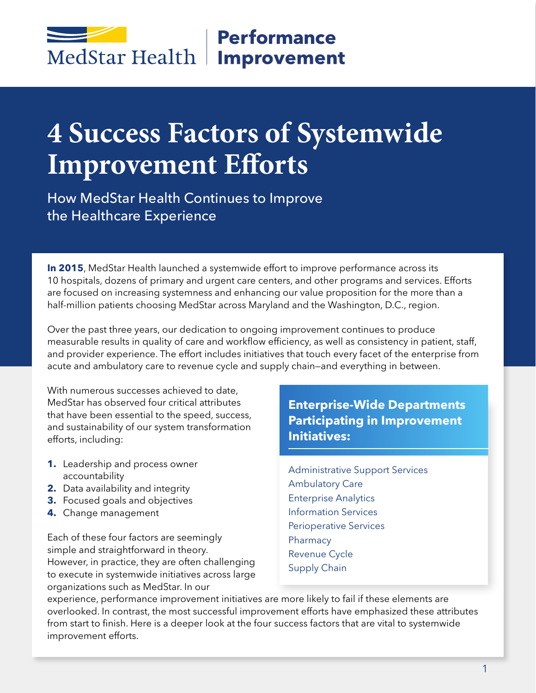## **Performance** MedStar Health | Improvement

# **4 Success Factors of Systemwide Improvement Efforts**

How MedStar Health Continues to Improve the Healthcare Experience

**In 2015**, MedStar Health launched a systemwide effort to improve performance across its 10 hospitals, dozens of primary and urgent care centers, and other programs and services. Efforts are focused on increasing systemness and enhancing our value proposition for the more than a half-million patients choosing MedStar across Maryland and the Washington, D.C., region.

Over the past three years, our dedication to ongoing improvement continues to produce measurable results in quality of care and workflow efficiency, as well as consistency in patient, staff, and provider experience. The effort includes initiatives that touch every facet of the enterprise from acute and ambulatory care to revenue cycle and supply chain—and everything in between.

With numerous successes achieved to date, MedStar has observed four critical attributes that have been essential to the speed, success, and sustainability of our system transformation efforts, including:

- **1.** Leadership and process owner accountability
- **2.** Data availability and integrity
- **3.** Focused goals and objectives
- **4.** Change management

Each of these four factors are seemingly simple and straightforward in theory. However, in practice, they are often challenging to execute in systemwide initiatives across large organizations such as MedStar. In our

**Enterprise-Wide Departments Participating in Improvement Initiatives:**

Administrative Support Services Ambulatory Care Enterprise Analytics Information Services Perioperative Services Pharmacy Revenue Cycle Supply Chain

experience, performance improvement initiatives are more likely to fail if these elements are overlooked. In contrast, the most successful improvement efforts have emphasized these attributes from start to finish. Here is a deeper look at the four success factors that are vital to systemwide improvement efforts.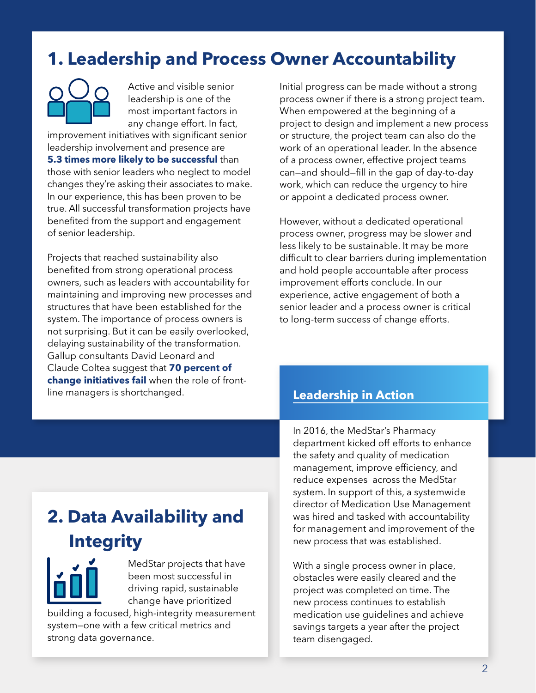### **1. Leadership and Process Owner Accountability**

Active and visible senior leadership is one of the most important factors in any change effort. In fact,

improvement initiatives with significant senior leadership involvement and presence are **5.3 times more likely to be successful** than those with senior leaders who neglect to model changes they're asking their associates to make. In our experience, this has been proven to be true. All successful transformation projects have benefited from the support and engagement of senior leadership.

Projects that reached sustainability also benefited from strong operational process owners, such as leaders with accountability for maintaining and improving new processes and structures that have been established for the system. The importance of process owners is not surprising. But it can be easily overlooked, delaying sustainability of the transformation. Gallup consultants David Leonard and Claude Coltea suggest that **70 percent of change initiatives fail** when the role of frontline managers is shortchanged.

Initial progress can be made without a strong process owner if there is a strong project team. When empowered at the beginning of a project to design and implement a new process or structure, the project team can also do the work of an operational leader. In the absence of a process owner, effective project teams can—and should—fill in the gap of day-to-day work, which can reduce the urgency to hire or appoint a dedicated process owner.

However, without a dedicated operational process owner, progress may be slower and less likely to be sustainable. It may be more difficult to clear barriers during implementation and hold people accountable after process improvement efforts conclude. In our experience, active engagement of both a senior leader and a process owner is critical to long-term success of change efforts.

#### **Leadership in Action**

## **2. Data Availability and Integrity**

MedStar projects that have been most successful in driving rapid, sustainable change have prioritized

building a focused, high-integrity measurement system—one with a few critical metrics and strong data governance.

In 2016, the MedStar's Pharmacy department kicked off efforts to enhance the safety and quality of medication management, improve efficiency, and reduce expenses across the MedStar system. In support of this, a systemwide director of Medication Use Management was hired and tasked with accountability for management and improvement of the new process that was established.

With a single process owner in place, obstacles were easily cleared and the project was completed on time. The new process continues to establish medication use guidelines and achieve savings targets a year after the project team disengaged.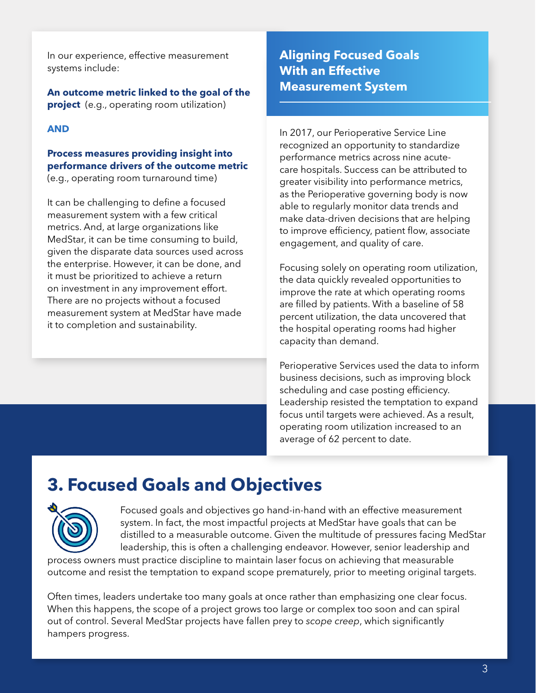In our experience, effective measurement systems include:

**An outcome metric linked to the goal of the project** (e.g., operating room utilization)

#### **AND**

#### **Process measures providing insight into performance drivers of the outcome metric** (e.g., operating room turnaround time)

It can be challenging to define a focused measurement system with a few critical metrics. And, at large organizations like MedStar, it can be time consuming to build, given the disparate data sources used across the enterprise. However, it can be done, and it must be prioritized to achieve a return on investment in any improvement effort. There are no projects without a focused measurement system at MedStar have made it to completion and sustainability.

#### **Aligning Focused Goals With an Effective Measurement System**

In 2017, our Perioperative Service Line recognized an opportunity to standardize performance metrics across nine acutecare hospitals. Success can be attributed to greater visibility into performance metrics, as the Perioperative governing body is now able to regularly monitor data trends and make data-driven decisions that are helping to improve efficiency, patient flow, associate engagement, and quality of care.

Focusing solely on operating room utilization, the data quickly revealed opportunities to improve the rate at which operating rooms are filled by patients. With a baseline of 58 percent utilization, the data uncovered that the hospital operating rooms had higher capacity than demand.

Perioperative Services used the data to inform business decisions, such as improving block scheduling and case posting efficiency. Leadership resisted the temptation to expand focus until targets were achieved. As a result, operating room utilization increased to an average of 62 percent to date.

### **3. Focused Goals and Objectives**



Focused goals and objectives go hand-in-hand with an effective measurement system. In fact, the most impactful projects at MedStar have goals that can be distilled to a measurable outcome. Given the multitude of pressures facing MedStar leadership, this is often a challenging endeavor. However, senior leadership and

process owners must practice discipline to maintain laser focus on achieving that measurable outcome and resist the temptation to expand scope prematurely, prior to meeting original targets.

Often times, leaders undertake too many goals at once rather than emphasizing one clear focus. When this happens, the scope of a project grows too large or complex too soon and can spiral out of control. Several MedStar projects have fallen prey to *scope creep*, which significantly hampers progress.